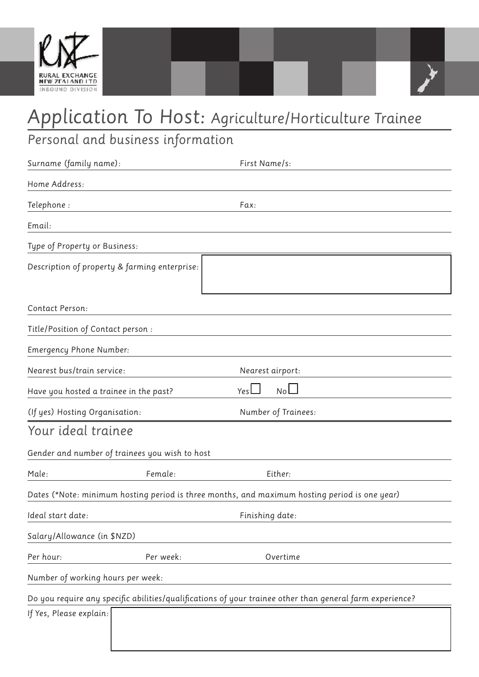

## *Application To Host: Agriculture/Horticulture Trainee*

*Personal and business information*

| Surname (family name):                                                                                   |           | First Name/s:       |  |
|----------------------------------------------------------------------------------------------------------|-----------|---------------------|--|
| Home Address:                                                                                            |           |                     |  |
| Telephone:                                                                                               |           | Fax:                |  |
| Email:                                                                                                   |           |                     |  |
| Type of Property or Business:                                                                            |           |                     |  |
| Description of property & farming enterprise:                                                            |           |                     |  |
| Contact Person:                                                                                          |           |                     |  |
| Title/Position of Contact person :                                                                       |           |                     |  |
| Emergency Phone Number:                                                                                  |           |                     |  |
| Nearest bus/train service:                                                                               |           | Nearest airport:    |  |
| Have you hosted a trainee in the past?                                                                   |           | No<br>Yes $\Box$    |  |
| (If yes) Hosting Organisation:                                                                           |           | Number of Trainees: |  |
| Your ideal trainee                                                                                       |           |                     |  |
| Gender and number of trainees you wish to host                                                           |           |                     |  |
| Male:                                                                                                    | Female:   | Either:             |  |
| Dates (*Note: minimum hosting period is three months, and maximum hosting period is one year)            |           |                     |  |
| Ideal start date:                                                                                        |           | Finishing date:     |  |
| Salary/Allowance (in \$NZD)                                                                              |           |                     |  |
| Per hour:                                                                                                | Per week: | Overtime            |  |
| Number of working hours per week:                                                                        |           |                     |  |
| Do you require any specific abilities/qualifications of your trainee other than general farm experience? |           |                     |  |
| If Yes, Please explain:                                                                                  |           |                     |  |